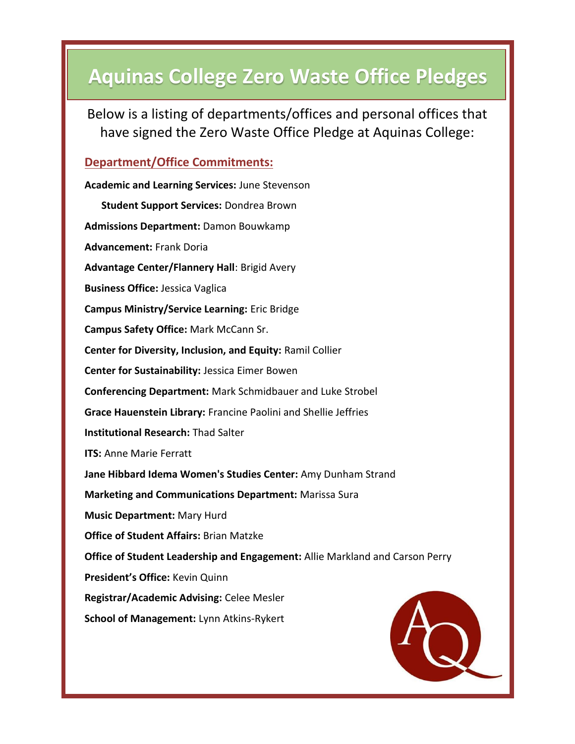# **Aquinas College Zero Waste Office Pledges**

Below is a listing of departments/offices and personal offices that have signed the Zero Waste Office Pledge at Aquinas College:

## **Department/Office Commitments:**

| <b>Academic and Learning Services: June Stevenson</b>                        |
|------------------------------------------------------------------------------|
| Student Support Services: Dondrea Brown                                      |
| <b>Admissions Department: Damon Bouwkamp</b>                                 |
| <b>Advancement: Frank Doria</b>                                              |
| Advantage Center/Flannery Hall: Brigid Avery                                 |
| <b>Business Office: Jessica Vaglica</b>                                      |
| <b>Campus Ministry/Service Learning: Eric Bridge</b>                         |
| Campus Safety Office: Mark McCann Sr.                                        |
| Center for Diversity, Inclusion, and Equity: Ramil Collier                   |
| Center for Sustainability: Jessica Eimer Bowen                               |
| <b>Conferencing Department: Mark Schmidbauer and Luke Strobel</b>            |
| Grace Hauenstein Library: Francine Paolini and Shellie Jeffries              |
| <b>Institutional Research: Thad Salter</b>                                   |
| <b>ITS: Anne Marie Ferratt</b>                                               |
| Jane Hibbard Idema Women's Studies Center: Amy Dunham Strand                 |
| <b>Marketing and Communications Department: Marissa Sura</b>                 |
| <b>Music Department: Mary Hurd</b>                                           |
| <b>Office of Student Affairs: Brian Matzke</b>                               |
| Office of Student Leadership and Engagement: Allie Markland and Carson Perry |
| President's Office: Kevin Quinn                                              |
| Registrar/Academic Advising: Celee Mesler                                    |
| School of Management: Lynn Atkins-Rykert                                     |